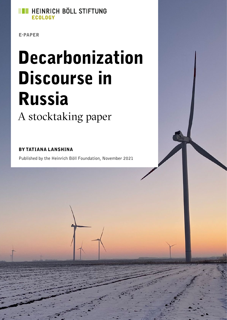

E-PAPER

# Decarbonization Discourse in Russia A stocktaking paper

#### BY TATIANA LANSHINA

Published by the Heinrich Böll Foundation, November 2021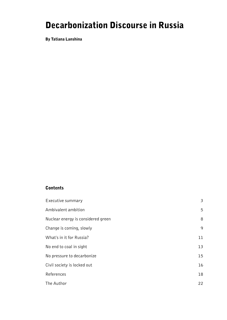# Decarbonization Discourse in Russia

By Tatiana Lanshina

#### **Contents**

| Executive summary                  | $\overline{\mathbf{3}}$ |
|------------------------------------|-------------------------|
| Ambivalent ambition                | 5                       |
| Nuclear energy is considered green | 8                       |
| Change is coming, slowly           | 9                       |
| What's in it for Russia?           | 11                      |
| No end to coal in sight            | 13                      |
| No pressure to decarbonize         | 15                      |
| Civil society is locked out        | 16                      |
| References                         | 18                      |
| The Author                         | 22                      |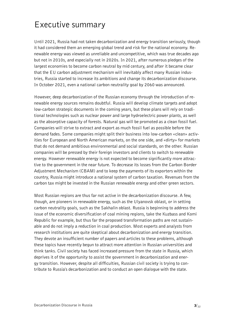## <span id="page-2-0"></span>Executive summary

Until 2021, Russia had not taken decarbonization and energy transition seriously, though it had considered them an emerging global trend and risk for the national economy. Renewable energy was viewed as unreliable and uncompetitive, which was true decades ago but not in 2010s, and especially not in 2020s. In 2021, after numerous pledges of the largest economies to become carbon neutral by mid century, and after it became clear that the EU carbon adjustment mechanism will inevitably affect many Russian industries, Russia started to increase its ambitions and change its decarbonization discourse. In October 2021, even a national carbon neutrality goal by 2060 was announced.

However, deep decarbonization of the Russian economy through the introduction of renewable energy sources remains doubtful. Russia will develop climate targets and adopt low-carbon strategic documents in the coming years, but these plans will rely on traditional technologies such as nuclear power and large hydroelectric power plants, as well as the absorptive capacity of forests. Natural gas will be promoted as a clean fossil fuel. Companies will strive to extract and export as much fossil fuel as possible before the demand fades. Some companies might split their business into low-carbon «clean» activities for European and North American markets, on the one side, and «dirty» for markets that do not demand ambitious environmental and social standards, on the other. Russian companies will be pressed by their foreign investors and clients to switch to renewable energy. However renewable energy is not expected to become significantly more attractive to the government in the near future. To decrease its losses from the Carbon Border Adjustment Mechanism (CBAM) and to keep the payments of its exporters within the country, Russia might introduce a national system of carbon taxation. Revenues from the carbon tax might be invested in the Russian renewable energy and other green sectors.

Most Russian regions are thus far not active in the decarbonization discourse. A few, though, are pioneers in renewable energy, such as the Ulyanovsk oblast, or in setting carbon neutrality goals, such as the Sakhalin oblast. Russia is beginning to address the issue of the economic diversification of coal mining regions, take the Kuzbass and Komi Republic for example, but thus far the proposed transformation paths are not sustainable and do not imply a reduction in coal production. Most experts and analysts from research institutions are quite skeptical about decarbonization and energy transition. They devote an insufficient number of papers and articles to these problems, although these topics have recently begun to attract more attention in Russian universities and think tanks. Civil society has faced increased pressure from the state in Russia, which deprives it of the opportunity to assist the government in decarbonization and energy transition. However, despite all difficulties, Russian civil society is trying to contribute to Russia's decarbonization and to conduct an open dialogue with the state.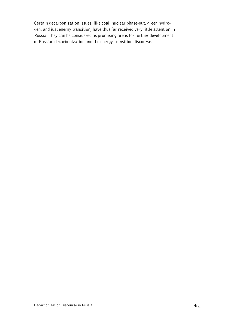Certain decarbonization issues, like coal, nuclear phase-out, green hydrogen, and just energy transition, have thus far received very little attention in Russia. They can be considered as promising areas for further development of Russian decarbonization and the energy-transition discourse.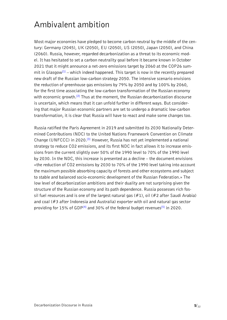# <span id="page-4-0"></span>Ambivalent ambition

Most major economies have pledged to become carbon neutral by the middle of the century: Germany (2045), UK (2050), EU (2050), US (2050), Japan (2050), and China (2060). Russia, however, regarded decarbonization as a threat to its economic model. It has hesitated to set a carbon neutrality goal before it became known in October 2021 that it might announce a net-zero emissions target by 2060 at the COP26 summit in Glasgow**[\[1\]](#page-17-0)** – which indeed happened. This target is now in the recently prepared new draft of the Russian low-carbon strategy 2050. The intensive scenario envisions the reduction of greenhouse gas emissions by 79% by 2050 and by 100% by 2060, for the first time associating the low-carbon transformation of the Russian economy with economic growth.**[\[2\]](#page-17-0)** Thus at the moment, the Russian decarbonization discourse is uncertain, which means that it can unfold further in different ways. But considering that major Russian economic partners are set to undergo a dramatic low-carbon transformation, it is clear that Russia will have to react and make some changes too.

Russia ratified the Paris Agreement in 2019 and submitted its 2030 Nationally Determined Contributions (NDC) to the United Nations Framework Convention on Climate Change (UNFCCC) in 2020.**[\[3\]](#page-17-0)** However, Russia has not yet implemented a national strategy to reduce CO2 emissions, and its first NDC in fact allows it to increase emissions from the current slightly over 50% of the 1990 level to 70% of the 1990 level by 2030. In the NDC, this increase is presented as a decline – the document envisions «the reduction of CO2 emissions by 2030 to 70% of the 1990 level taking into account the maximum possible absorbing capacity of forests and other ecosystems and subject to stable and balanced socio-economic development of the Russian Federation.» The low level of decarbonization ambitions and their duality are not surprising given the structure of the Russian economy and its path dependence. Russia possesses rich fossil fuel resources and is one of the largest natural gas  $(\#1)$ , oil  $(\#2$  after Saudi Arabia) and coal (#3 after Indonesia and Australia) exporter with oil and natural gas sector providing for 15% of GDP**[\[4\]](#page-17-0)** and 30% of the federal budget revenues**[\[5\]](#page-17-0)** in 2020.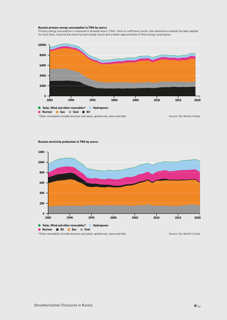#### Russian primary energy consumption in TWh by source

Primary energy consumption is measured in terawatt-hours (TWh). Here an inefficiency factor (the substitution method) has been applied for fossil fuels, meaning the shares by each energy source give a better approximation of final energy consumption.



#### Russian electricity production in TWh by source

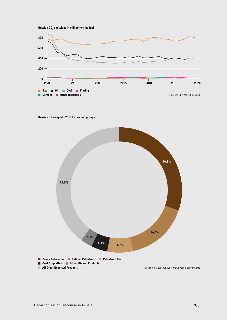



#### Russian total exports 2019 by product groups

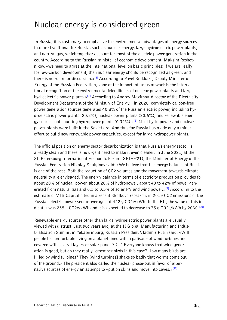## <span id="page-7-0"></span>Nuclear energy is considered green

In Russia, it is customary to emphasize the environmental advantages of energy sources that are traditional for Russia, such as nuclear energy, large hydroelectric power plants, and natural gas, which together account for most of the electric power generation in the country. According to the Russian minister of economic development, Maksim Reshetnikov, «we need to agree at the international level on basic principles: if we are really for low-carbon development, then nuclear energy should be recognized as green, and there is no room for discussion.»**[\[6\]](#page-17-0)** According to Pavel Snikkars, Deputy Minister of Energy of the Russian Federation, «one of the important areas of work is the international recognition of the environmental friendliness of nuclear power plants and large hydroelectric power plants.»**[\[7\]](#page-17-0)** According to Andrey Maximov, director of the Electricity Development Department of the Ministry of Energy, «in 2020, completely carbon-free power generation sources generated 40.8% of the Russian electric power, including hydroelectric power plants (20.2%), nuclear power plants (20.6%), and renewable energy sources not counting hydropower plants (0.32%).»**[\[8\]](#page-17-0)** Most hydropower and nuclear power plants were built in the Soviet era. And thus far Russia has made only a minor effort to build new renewable power capacities, except for large hydropower plants.

The official position on energy sector decarbonization is that Russia's energy sector is already clean and there is no urgent need to make it even cleaner. In June 2021, at the St. Petersburg International Economic Forum (SPIEF'21), the Minister of Energy of the Russian Federation Nikolay Shulginov said: «We believe that the energy balance of Russia is one of the best. Both the reduction of CO2 volumes and the movement towards climate neutrality are envisaged. The energy balance in terms of electricity production provides for about 20% of nuclear power, about 20% of hydropower, about 40 to 42% of power generated from natural gas and 0.3 to 0.5% of solar PV and wind power.»**[\[9\]](#page-17-0)** According to the estimate of VTB Capital cited in a recent Skolkovo research, in 2019 CO2 emissions of the Russian electric power sector averaged at 422 g CO2e/kWh. In the EU, the value of this indicator was 255 g CO2e/kWh and it is expected to decrease to 75 g CO2e/kWh by 2030.**[\[10\]](#page-17-0)**

Renewable energy sources other than large hydroelectric power plants are usually viewed with distrust. Just two years ago, at the II Global Manufacturing and Industrialisation Summit in Yekaterinburg, Russian President Vladimir Putin said: «Will people be comfortable living on a planet lined with a palisade of wind turbines and covered with several layers of solar panels? (...) Everyone knows that wind generation is good, but do they really remember birds in this case? How many birds are killed by wind turbines? They [wind turbines] shake so badly that worms come out of the ground.» The president also called the nuclear phase-out in favor of alternative sources of energy an attempt to «put on skins and move into caves.»**[\[11\]](#page-17-0)**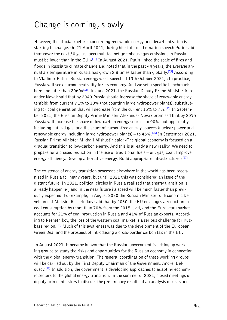## <span id="page-8-0"></span>Change is coming, slowly

However, the official rhetoric concerning renewable energy and decarbonization is starting to change. On 21 April 2021, during his state-of-the-nation speech Putin said that «over the next 30 years, accumulated net greenhouse gas emissions in Russia must be lower than in the EU.»**[\[12\]](#page-17-0)** In August 2021, Putin linked the scale of fires and floods in Russia to climate change and noted that in the past 44 years, the average annual air temperature in Russia has grown 2.8 times faster than globally.**[\[13\]](#page-17-0)** According to Vladimir Putin's Russian energy week speech of 13th October 2021, «In practice, Russia will seek carbon neutrality for its economy. And we set a specific benchmark here - no later than 2060»**[\[14\]](#page-17-0)**. In June 2021, the Russian Deputy Prime Minister Alexander Novak said that by 2040 Russia should increase the share of renewable energy tenfold: from currently 1% to 10% (not counting large hydropower plants), substituting for coal generation that will decrease from the current 15% to 7%.**[\[15\]](#page-17-0)** In September 2021, the Russian Deputy Prime Minister Alexander Novak promised that by 2035 Russia will increase the share of low-carbon energy sources to 90%. but apparently including natural gas, and the share of carbon-free energy sources (nuclear power and renewable energy including large hydropower plants) – to 45%.**[\[16\]](#page-17-0)** In September 2021, Russian Prime Minister Mikhail Mishustin said: «The global economy is focused on a gradual transition to low-carbon energy. And this is already a new reality. We need to prepare for a phased reduction in the use of traditional fuels – oil, gas, coal. Improve energy efficiency. Develop alternative energy. Build appropriate infrastructure.»**[\[17\]](#page-18-0)**

The existence of energy transition processes elsewhere in the world has been recognized in Russia for many years, but until 2021 this was considered an issue of the distant future. In 2021, political circles in Russia realized that energy transition is already happening, and in the near future its speed will be much faster than previously expected. For example, in August 2020 the Russian Minister of Economic Development Maksim Reshetnikov said that by 2030, the EU envisages a reduction in coal consumption by more than 70% from the 2015 level, and the European market accounts for 21% of coal production in Russia and 41% of Russian exports. According to Reshetnikov, the loss of the western coal market is a serious challenge for Kuzbass region.**[\[18\]](#page-18-0)** Much of this awareness was due to the development of the European Green Deal and the prospect of introducing a cross-border carbon tax in the EU.

In August 2021, it became known that the Russian government is setting up working groups to study the risks and opportunities for the Russian economy in connection with the global energy transition. The general coordination of these working groups will be carried out by the First Deputy Chairman of the Government, Andrei Belousov.**[\[19\]](#page-18-0)** In addition, the government is developing approaches to adapting economic sectors to the global energy transition. In the summer of 2021, closed meetings of deputy prime ministers to discuss the preliminary results of an analysis of risks and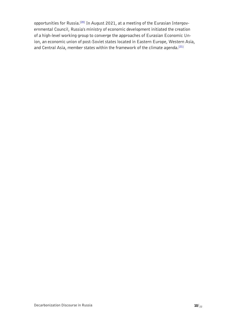<span id="page-9-0"></span>opportunities for Russia.**[\[20\]](#page-18-0)** In August 2021, at a meeting of the Eurasian Intergovernmental Council, Russia's ministry of economic development initiated the creation of a high-level working group to converge the approaches of Eurasian Economic Union, an economic union of post-Soviet states located in Eastern Europe, Western Asia, and Central Asia, member states within the framework of the climate agenda.**[\[21\]](#page-18-0)**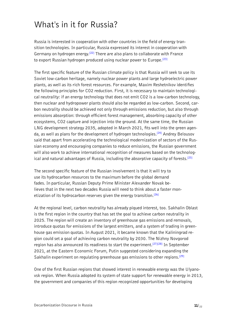# <span id="page-10-0"></span>What's in it for Russia?

Russia is interested in cooperation with other countries in the field of energy transition technologies. In particular, Russia expressed its interest in cooperation with Germany on hydrogen energy.**[\[22\]](#page-18-0)** There are also plans to collaborate with France to export Russian hydrogen produced using nuclear power to Europe.**[\[23\]](#page-18-0)**

The first specific feature of the Russian climate policy is that Russia will seek to use its Soviet low-carbon heritage, namely nuclear power plants and large hydroelectric power plants, as well as its rich forest resources. For example, Maxim Reshetnikov identifies the following principles for CO2 reduction. First, it is necessary to maintain technological neutrality: if an energy technology that does not emit CO2 is a low-carbon technology, then nuclear and hydropower plants should also be regarded as low-carbon. Second, carbon neutrality should be achieved not only through emissions reduction, but also through emissions absorption: through efficient forest management, absorbing capacity of other ecosystems, CO2 capture and injection into the ground. At the same time, the Russian LNG development strategy 2035, adopted in March 2021, fits well into the green agenda, as well as plans for the development of hydrogen technologies.**[\[24\]](#page-18-0)** Andrey Belousov said that apart from accelerating the technological modernization of sectors of the Russian economy and encouraging companies to reduce emissions, the Russian government will also work to achieve international recognition of measures based on the technological and natural advantages of Russia, including the absorptive capacity of forests.**[\[25\]](#page-18-0)**

The second specific feature of the Russian involvement is that it will try to use its hydrocarbon resources to the maximum before the global demand fades. In particular, Russian Deputy Prime Minister Alexander Novak believes that in the next two decades Russia will need to think about a faster monetization of its hydrocarbon reserves given the energy transition.**[\[26\]](#page-18-0)**

At the regional level, carbon neutrality has already piqued interest, too. Sakhalin Oblast is the first region in the country that has set the goal to achieve carbon neutrality in 2025. The region will create an inventory of greenhouse gas emissions and removals, introduce quotas for emissions of the largest emitters, and a system of trading in greenhouse gas emission quotas. In August 2021, it became known that the Kaliningrad region could set a goal of achieving carbon neutrality by 2030. The Nizhny Novgorod region has also announced its readiness to start the experiment.**[\[27\]\[28\]](#page-18-0)** In September 2021, at the Eastern Economic Forum, Putin suggested considering expanding the Sakhalin experiment on regulating greenhouse gas emissions to other regions.**[\[29\]](#page-18-0)**

One of the first Russian regions that showed interest in renewable energy was the Ulyanovsk region. When Russia adopted its system of state support for renewable energy in 2013, the government and companies of this region recognized opportunities for developing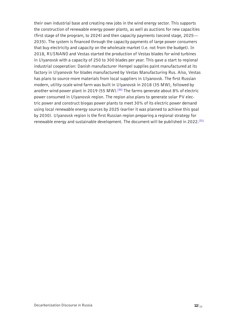<span id="page-11-0"></span>their own industrial base and creating new jobs in the wind energy sector. This supports the construction of renewable energy power plants, as well as auctions for new capacities (first stage of the program, to 2024) and then capacity payments (second stage, 2025— 2035). The system is financed through the capacity payments of large power consumers that buy electricity and capacity on the wholesale market (i.e. not from the budget). In 2018, RUSNANO and Vestas started the production of Vestas blades for wind turbines in Ulyanovsk with a capacity of 250 to 300 blades per year. This gave a start to regional industrial cooperation: Danish manufacturer Hempel supplies paint manufactured at its factory in Ulyanovsk for blades manufactured by Vestas Manufacturing Rus. Also, Vestas has plans to source more materials from local suppliers in Ulyanovsk. The first Russian modern, utility-scale wind farm was built in Ulyanovsk in 2018 (35 MW), followed by another wind power plant in 2019 (55 MW).**[\[30\]](#page-18-0)** The farms generate about 8% of electric power consumed in Ulyanovsk region. The region also plans to generate solar PV electric power and construct biogas power plants to meet 30% of its electric power demand using local renewable energy sources by 2025 (earlier it was planned to achieve this goal by 2030). Ulyanovsk region is the first Russian region preparing a regional strategy for renewable energy and sustainable development. The document will be published in 2022.**[\[31\]](#page-18-0)**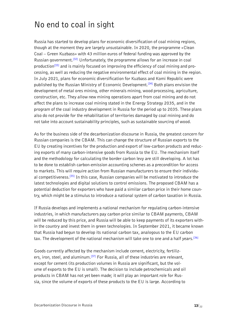# <span id="page-12-0"></span>No end to coal in sight

Russia has started to develop plans for economic diversification of coal mining regions, though at the moment they are largely unsustainable. In 2020, the programme «Clean Coal – Green Kuzbass» with 43 million euros of federal funding was approved by the Russian government.**[\[32\]](#page-19-0)** Unfortunately, the programme allows for an increase in coal production**[\[33\]](#page-19-0)** and is mainly focused on improving the efficiency of coal mining and processing, as well as reducing the negative environmental effect of coal mining in the region. In July 2021, plans for economic diversification for Kuzbass and Komi Republic were published by the Russian Ministry of Economic Development.**[\[34\]](#page-19-0)** Both plans envision the development of metal ores mining, other minerals mining, wood processing, agriculture, construction, etc. They allow new mining operations apart from coal mining and do not affect the plans to increase coal mining stated in the Energy Strategy 2035, and in the program of the coal industry development in Russia for the period up to 2035. These plans also do not provide for the rehabilitation of territories damaged by coal mining and do not take into account sustainability principles, such as sustainable sourcing of wood.

As for the business side of the decarbonization discourse in Russia, the greatest concern for Russian companies is the CBAM. This can change the structure of Russian exports to the EU by creating incentives for the production and export of low-carbon products and reducing exports of many carbon-intensive goods from Russia to the EU. The mechanism itself and the methodology for calculating the border carbon levy are still developing. A lot has to be done to establish carbon-emission accounting schemes as a precondition for access to markets. This will require action from Russian manufacturers to ensure their individual competitiveness.**[\[35\]](#page-19-0)** In this case, Russian companies will be motivated to introduce the latest technologies and digital solutions to control emissions. The proposed CBAM has a potential deduction for exporters who have paid a similar carbon price in their home country, which might be a stimulus to introduce a national system of carbon taxation in Russia.

If Russia develops and implements a national mechanism for regulating carbon-intensive industries, in which manufacturers pay carbon price similar to CBAM payments, CBAM will be reduced by this price, and Russia will be able to keep payments of its exporters within the country and invest them in green technologies. In September 2021, it became known that Russia had begun to develop its national carbon tax, analogous to the EU carbon tax. The development of the national mechanism will take one to one and a half years.**[\[36\]](#page-19-0)**

Goods currently affected by the mechanism include cement, electricity, fertilizers, iron, steel, and aluminum.**[\[37\]](#page-19-0)** For Russia, all of these industries are relevant, except for cement (its production volumes in Russia are significant, but the volume of exports to the EU is small). The decision to include petrochemicals and oil products in CBAM has not yet been made; it will play an important role for Russia, since the volume of exports of these products to the EU is large. According to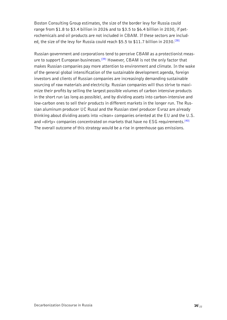<span id="page-13-0"></span>Boston Consulting Group estimates, the size of the border levy for Russia could range from \$1.8 to \$3.4 billion in 2026 and to \$3.5 to \$6.4 billion in 2030, if petrochemicals and oil products are not included in CBAM. If these sectors are included, the size of the levy for Russia could reach \$5.5 to \$11.7 billion in 2030.**[\[38\]](#page-19-0)**

Russian government and corporations tend to perceive CBAM as a protectionist measure to support European businesses.**[\[39\]](#page-19-0)** However, CBAM is not the only factor that makes Russian companies pay more attention to environment and climate. In the wake of the general global intensification of the sustainable development agenda, foreign investors and clients of Russian companies are increasingly demanding sustainable sourcing of raw materials and electricity. Russian companies will thus strive to maximize their profits by selling the largest possible volumes of carbon intensive products in the short run (as long as possible), and by dividing assets into carbon-intensive and low-carbon ones to sell their products in different markets in the longer run. The Russian aluminum producer UC Rusal and the Russian steel producer Evraz are already thinking about dividing assets into «clean» companies oriented at the EU and the U.S. and «dirty» companies concentrated on markets that have no ESG requirements.**[\[40\]](#page-19-0)** The overall outcome of this strategy would be a rise in greenhouse gas emissions.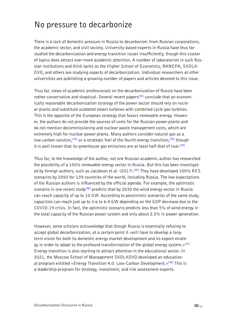#### <span id="page-14-0"></span>No pressure to decarbonize

There is a lack of domestic pressure in Russia to decarbonize: from Russian corporations, the academic sector, and civil society. University-based experts in Russia have thus far studied the decarbonization and energy transition issues insufficiently, though this cluster of topics does attract ever more academic attention. A number of laboratories in such Russian institutions and think tanks as the Higher School of Economics, RANEPA, SKOLK-OVO, and others are studying aspects of decarbonization. Individual researchers at other universities are publishing a growing number of papers and articles devoted to this issue.

Thus far, views of academic professionals on the decarbonization of Russia have been rather conservative and skeptical. Several recent papers**[\[41\]](#page-19-0)** conclude that an economically reasonable decarbonization strategy of the power sector should rely on nuclear plants and substitute outdated steam turbines with combined cycle gas turbines. This is the opposite of the European strategy that favors renewable energy. However, the authors do not provide the sources of costs for the Russian power plants and do not mention decommissioning and nuclear waste management costs, which are extremely high for nuclear power plants. Many authors consider natural gas as a low-carbon solution,**[\[42\]](#page-19-0)** or a strategic fuel of the fourth energy transition,**[\[43\]](#page-19-0)** though it is well known that its greenhouse gas emissions are at least half that of coal.**[\[44\]](#page-19-0)**

Thus far, to the knowledge of the author, not one Russian academic author has researched the possibility of a 100% renewable energy sector in Russia. But this has been investigated by foreign authors, such as Jacobson et al. (2017).**[\[45\]](#page-19-0)** They have developed 100% RES scenarios by 2050 for 139 countries of the world, including Russia. The low expectations of the Russian authors is influenced by the official agenda. For example, the optimistic scenario in one recent study**[\[46\]](#page-19-0)** predicts that by 2030 the wind energy sector in Russia can reach capacity of up to 10 GW. According to pessimistic scenarios of the same study, capacities can reach just up to 3.6 to 6.4 GW depending on the GDP decrease due to the COVID-19 crisis. In fact, the optimistic scenario predicts less than 5% of wind energy in the total capacity of the Russian power system and only about 2.5% in power generation.

However, some scholars acknowledge that though Russia is essentially refusing to accept global decarbonization, at a certain point it «will have to develop a longterm vision for both its domestic energy market development and its export strategy in order to adapt to the profound transformation of the global energy system.»**[\[47\]](#page-19-0)** Energy transition is also starting to attract attention in the educational sector. In 2021, the Moscow School of Management SKOLKOVO developed an educational program entitled «Energy Transition 4.0: Low-Carbon Development.»**[\[48\]](#page-20-0)** This is a leadership program for strategy, investment, and risk assessment experts.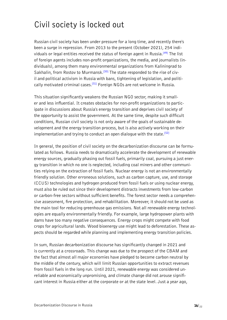# <span id="page-15-0"></span>Civil society is locked out

Russian civil society has been under pressure for a long time, and recently there's been a surge in repression. From 2013 to the present (October 2021), 254 individuals or legal entities received the status of foreign agent in Russia.**[\[49\]](#page-20-0)** The list of foreign agents includes non-profit organizations, the media, and journalists (individuals), among them many environmental organizations from Kaliningrad to Sakhalin, from Rostov to Murmansk.**[\[50\]](#page-20-0)** The state responded to the rise of civil and political activism in Russia with bans, tightening of legislation, and politically motivated criminal cases.**[\[51\]](#page-20-0)** Foreign NGOs are not welcome in Russia.

This situation significantly weakens the Russian NGO sector, making it smaller and less influential. It creates obstacles for non-profit organizations to participate in discussions about Russia's energy transition and deprives civil society of the opportunity to assist the government. At the same time, despite such difficult conditions, Russian civil society is not only aware of the goals of sustainable development and the energy transition process, but is also actively working on their implementation and trying to conduct an open dialogue with the state.**[\[52\]](#page-20-0)**

In general, the position of civil society on the decarbonization discourse can be formulated as follows. Russia needs to dramatically accelerate the development of renewable energy sources, gradually phasing out fossil fuels, primarily coal, pursuing a just energy transition in which no one is neglected, including coal miners and other communities relying on the extraction of fossil fuels. Nuclear energy is not an environmentally friendly solution. Other erroneous solutions, such as carbon capture, use, and storage (CCUS) technologies and hydrogen produced from fossil fuels or using nuclear energy, must also be ruled out since their development distracts investments from low-carbon or carbon-free sectors without sufficient benefits. The forest sector needs a comprehensive assessment, fire protection, and rehabilitation. Moreover, it should not be used as the main tool for reducing greenhouse gas emissions. Not all renewable energy technologies are equally environmentally friendly. For example, large hydropower plants with dams have too many negative consequences. Energy crops might compete with food crops for agricultural lands. Wood bioenergy use might lead to deforestation. These aspects should be regarded while planning and implementing energy transition policies.

In sum, Russian decarbonization discourse has significantly changed in 2021 and is currently at a crossroads. This change was due to the prospect of the CBAM and the fact that almost all major economies have pledged to become carbon neutral by the middle of the century, which will limit Russian opportunities to extract revenues from fossil fuels in the long run. Until 2021, renewable energy was considered unreliable and economically unpromising, and climate change did not arouse significant interest in Russia either at the corporate or at the state level. Just a year ago,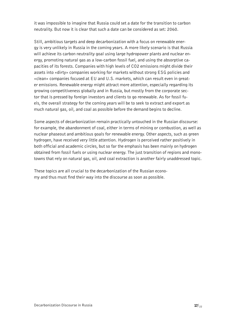it was impossible to imagine that Russia could set a date for the transition to carbon neutrality. But now it is clear that such a date can be considered as set: 2060.

Still, ambitious targets and deep decarbonization with a focus on renewable energy is very unlikely in Russia in the coming years. A more likely scenario is that Russia will achieve its carbon neutrality goal using large hydropower plants and nuclear energy, promoting natural gas as a low-carbon fossil fuel, and using the absorptive capacities of its forests. Companies with high levels of CO2 emissions might divide their assets into «dirty» companies working for markets without strong ESG policies and «clean» companies focused at EU and U.S. markets, which can result even in greater emissions. Renewable energy might attract more attention, especially regarding its growing competitiveness globally and in Russia, but mostly from the corporate sector that is pressed by foreign investors and clients to go renewable. As for fossil fuels, the overall strategy for the coming years will be to seek to extract and export as much natural gas, oil, and coal as possible before the demand begins to decline.

Some aspects of decarbonization remain practically untouched in the Russian discourse: for example, the abandonment of coal, either in terms of mining or combustion, as well as nuclear phaseout and ambitious goals for renewable energy. Other aspects, such as green hydrogen, have received very little attention. Hydrogen is perceived rather positively in both official and academic circles, but so far the emphasis has been mainly on hydrogen obtained from fossil fuels or using nuclear energy. The just transition of regions and monotowns that rely on natural gas, oil, and coal extraction is another fairly unaddressed topic.

These topics are all crucial to the decarbonization of the Russian economy and thus must find their way into the discourse as soon as possible.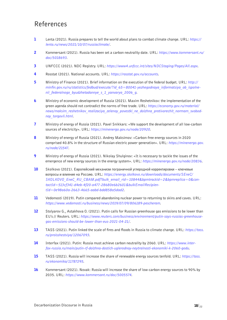#### <span id="page-17-0"></span>References

- [1](#page-4-0) Lenta (2021). Russia prepares to tell the world about plans to combat climate change. URL: *https:// lenta.ru/news/2021/10/07/russiaclimate/*.
- [2](#page-4-0) Kommersant (2021). Russia has been set a carbon neutrality date. URL: *https://www.kommersant.ru/ doc/5018693*.
- [3](#page-4-0) UNFCCC (2021). NDC Registry. URL: *https://www4.unfccc.int/sites/NDCStaging/Pages/All.aspx*.
- [4](#page-4-0) Rosstat (2021). National accounts. URL: *https://rosstat.gov.ru/accounts*.
- [5](#page-4-0) Ministry of Finance (2021). Brief information on the execution of the federal budget. URL: *http:// minfin.gov.ru/ru/statistics/fedbud/execute/?id\_65=80041-yezhegodnaya\_informatsiya\_ob\_ispolnenii\_federalnogo\_byudzhetadannye\_s\_1\_yanvarya\_2006\_g*.
- [6](#page-7-0) Ministry of economic development of Russia (2021). Maxim Reshetnikov: the implementation of the green agenda should not contradict the norms of free trade. URL: *https://economy.gov.ru/material/ news/maksim\_reshetnikov\_realizaciya\_zelenoy\_povestki\_ne\_dolzhna\_protivorechit\_normam\_svobodnoy\_torgovli.html*.
- [7](#page-7-0) Ministry of energy of Russia (2021). Pavel Snikkars: «We support the development of all low-carbon sources of electricity». URL: *https://minenergo.gov.ru/node/20920*.
- [8](#page-7-0) Ministry of energy of Russia (2021). Andrey Maksimov: «Carbon-free energy sources in 2020 comprised 40.8% in the structure of Russian electric power generation». URL: *https://minenergo.gov. ru/node/21547*.
- [9](#page-7-0) Ministry of energy of Russia (2021). Nikolay Shulginov: «It is necessary to tackle the issues of the emergence of new energy sources in the energy system». URL: *https://minenergo.gov.ru/node/20836*.
- [10](#page-7-0) Skolkovo (2021). Европейский механизм пограничной углеродной корректировки ключевые вопросы и влияние на Россию. URL: *https://energy.skolkovo.ru/downloads/documents/SEneC/ SKOLKOVO\_EneC\_RU\_CBAM.pdf?bulk\_email\_rid=10844&bpmtrackid=2&bpmreplica=0&contactId=513cf341-d4eb-4f20-a477-28680e6b2601&bulkEmailRecipientId=0e98a60a-2663-4665-aabd-bdd858a5dad2*.
- [11](#page-7-0) Vedomosti (2019). Putin compared abandoning nuclear power to returning to skins and caves. URL: *https://www.vedomosti.ru/business/news/2019/07/09/806189-pescheram*.
- [12](#page-8-0) Stolyarov G., Astakhova O. (2021). Putin calls for Russian greenhouse gas emissions to be lower than EU's // Reuters. URL: *https://www.reuters.com/business/environment/putin-says-russias-greenhousegas-emissions-should-be-lower-than-eus-2021-04-21/*.
- [13](#page-8-0) TASS (2021). Putin linked the scale of fires and floods in Russia to climate change. URL: *https://tass. ru/proisshestviya/12067093*.
- [14](#page-8-0) Interfax (2021). Putin: Russia must achieve carbon neutrality by 2060. URL: *https://www.interfax-russia.ru/main/putin-rf-dolzhna-dostich-uglerodnoy-neytralnosti-ekonomiki-k-2060-godu*.
- [15](#page-8-0) TASS (2021). Russia will increase the share of renewable energy sources tenfold. URL: *https://tass. ru/ekonomika/11787295*.
- [16](#page-8-0) Kommersant (2021). Novak: Russia will increase the share of low-carbon energy sources to 90% by 2035. URL: *https://www.kommersant.ru/doc/5005574*.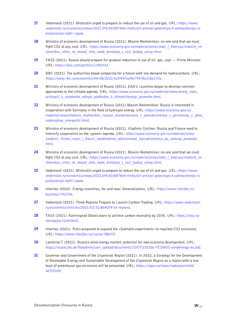- <span id="page-18-0"></span>[17](#page-8-0) Vedomosti (2021). Mishustin urged to prepare to reduce the use of oil and gas. URL: *https://www. vedomosti.ru/economics/news/2021/09/20/887464-mishustin-prizval-gotovitsya-k-sokrascheniyu-ispolzovaniya-nefti-i-gaza*.
- [18](#page-8-0) Ministry of economic development of Russia (2021). Maxim Reshetnikov: no one said that we must fight CO2 at any cost. URL: *https://www.economy.gov.ru/material/press/stati\_i\_intervyu/maksim\_reshetnikov\_nikto\_ne\_skazal\_chto\_nado\_borotsya\_s\_co2\_lyuboy\_cenoy.html*.
- [19](#page-8-0) TASS (2021). Russia should prepare for gradual reduction in use of oil, gas, coal Prime Minister. URL: *https://tass.com/politics/1340343*.
- [20](#page-9-0) RBC (2021). The authorities began preparing for a future with low demand for hydrocarbons. URL: *https://www.rbc.ru/economics/04/08/2021/610997ea9a79478e2cba172a*.
- [21](#page-9-0) Ministry of economic development of Russia (2021). EAEU countries began to develop common approaches to the climate agenda. URL: *https://www.economy.gov.ru/material/news/strany\_eaes\_ pristupili\_k\_vyrabotke\_edinyh\_podhodov\_k\_klimaticheskoy\_povestke.html*.
- [22](#page-10-0) Ministry of economic development of Russia (2021). Maxim Reshetnikov: Russia is interested in cooperation with Germany in the field of hydrogen energy. URL: *https://www.economy.gov.ru/ material/news/maksim\_reshetnikov\_rossiya\_zainteresovana\_v\_sotrudnichestve\_s\_germaniey\_v\_sfere\_ vodorodnoy\_energetiki.html*.
- [23](#page-10-0) Ministry of economic development of Russia (2021). Vladimir Ilyichev: Russia and France need to intensify cooperation on the «green» agenda. URL: *https://www.economy.gov.ru/material/news/ vladimir\_ilichev\_rossii\_i\_francii\_neobhodimo\_aktivizirovat\_sotrudnichestvo\_po\_zelenoy\_povestke. html*.
- [24](#page-10-0) Ministry of economic development of Russia (2021). Maxim Reshetnikov: no one said that we must fight CO2 at any cost. URL: *https://www.economy.gov.ru/material/press/stati\_i\_intervyu/maksim\_reshetnikov\_nikto\_ne\_skazal\_chto\_nado\_borotsya\_s\_co2\_lyuboy\_cenoy.html*.
- [25](#page-10-0) Vedomosti (2021). Mishustin urged to prepare to reduce the use of oil and gas. URL: *https://www. vedomosti.ru/economics/news/2021/09/20/887464-mishustin-prizval-gotovitsya-k-sokrascheniyu-ispolzovaniya-nefti-i-gaza*.
- [26](#page-10-0) Interfax (2020). Energy transition, far and near. Generalization. URL: *https://www.interfax.ru/ business/742336*.
- [27](#page-10-0) Vedomosti (2021). Three Regions Prepare to Launch Carbon Trading. URL: *https://www.vedomosti. ru/economics/articles/2021/03/31/864074-tri-regiona*.
- [28](#page-10-0) TASS (2021). Kaliningrad Oblast plans to achieve carbon neutrality by 2030. URL: *https://tass.ru/ ekologiya/12243665*.
- [29](#page-10-0) Interfax (2021). Putin proposed to expand the «Sakhalin experiment» to regulate CO2 emissions. URL: *https://www.interfax.ru/russia/788372*.
- [30](#page-11-0) Lanshina T. (2021). Russia's wind energy market: potential for new economy development. URL: *https://russia.fes.de/fileadmin/user\_upload/documents/SOET/210316-FESMOS-windenergy-en.pdf*.
- [31](#page-11-0) Governor and Government of the Ulyanovsk Region (2021). In 2022, a Strategy for the Development of Renewable Energy and Sustainable Development of the Ulyanovsk Region as a region with a low level of greenhouse gas emissions will be presented. URL: *https://ulgov.ru/news/index/permlink/ id/59124/*.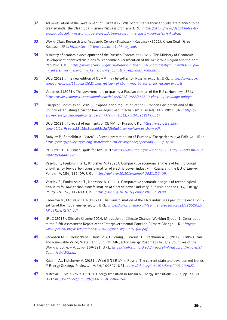- <span id="page-19-0"></span>[32](#page-12-0) Administration of the Government of Kuzbass (2020). More than a thousand jobs are planned to be created under the Clean Coal - Green Kuzbass program. URL: *https://ako.ru/news/detail/bolee-tysyachi-rabochikh-mest-planiruetsya-sozdat-po-programme-chistyy-ugol-zelenyy-kuzbass*.
- [33](#page-12-0) World-Class Research and Academic Centre «Kuzbass» «Kuzbass» (2021). Clean Coal Green Kuzbass. URL: *https://xn--42-bmce4b.xn--p1ai/kntp\_coal*.
- [34](#page-12-0) Ministry of economic development of the Russian Federation (2021). The Ministry of Economic Development approved the plans for economic diversification of the Kemerovo Region and the Komi Republic. URL: *https://www.economy.gov.ru/material/news/minekonomrazvitiya\_utverzhdeny\_plany\_diversifikacii\_ekonomiki\_kemerovskoy\_oblasti\_i\_respubliki\_komi.html*.
- [35](#page-12-0) BCG (2021). The new edition of CBAM may be softer for Russian exports. URL: *https://www.bcg. com/ru-ru/press/16august2021-new-revision-of-cbam-may-be-softer-for-russian-exports*.
- [36](#page-12-0) Vedomosti (2021). The government is preparing a Russian version of the EU carbon levy. URL: *https://www.vedomosti.ru/economics/articles/2021/09/22/887822-vlasti-uglerodnogo-naloga*.
- [37](#page-12-0) European Commission (2021). Proposal for a regulation of the European Parliament and of the Council establishing a carbon border adjustment mechanism. Brussels, 14.7.2021. URL: *https:// eur-lex.europa.eu/legal-content/en/TXT/?uri=CELEX%3A52021PC0564*.
- [38](#page-13-0) BCG (2021). Forecast of payments of CBAM for Russia. URL: *https://web-assets.bcg. com/40/1c/9c6ecb28418a8adc658c2d72b8a5/new-revision-of-cbam.pdf*.
- [39](#page-13-0) Bobylev P., Semeikin A. (2020). «Green» protectionism of Europe // Energeticheskaya Politika. URL: *https://energypolicy.ru/zelenyj-protekczionizm-evropy/energoperehod/2020/14/14/*.
- [40](#page-13-0) RBC (2021). UC Rusal spills for two. URL: *https://www.rbc.ru/newspaper/2021/05/20/60a3b6719a 7947d63af44697/*.
- [41](#page-14-0) Veselov F., Pankrushina T., Khorshev A. (2021). Comparative economic analysis of technological priorities for low-carbon transformation of electric power industry in Russia and the EU // Energy Policy. - V. 156, 112409. URL: *https://doi.org/10.1016/j.enpol.2021.112409*.
- [42](#page-14-0) Veselov F., Pankrushina T., Khorshev A. (2021). Comparative economic analysis of technological priorities for low-carbon transformation of electric power industry in Russia and the EU // Energy Policy. - V. 156, 112409. URL: *https://doi.org/10.1016/j.enpol.2021.112409*.
- [43](#page-14-0) Fedorova V., Mitryaikina A. (2021). The transformation of the LNG industry as part of the decarbonization of the global energy sector. URL: *https://www.imemo.ru/files/File/ru/events/2021/12052021/ MYITRIAIKINA.pdf*.
- [44](#page-14-0) IPCC (2018). Climate Change 2014. Mitigation of Climate Change. Working Group III Contribution to the Fifth Assessment Report of the Intergovernmental Panel on Climate Change. URL: *https:// www.ipcc.ch/site/assets/uploads/2018/02/ipcc\_wg3\_ar5\_full.pdf*.
- [45](#page-14-0) Jacobson M.Z., Delucchi M., Bauer Z.A.F., Wang J., Weiner E., Yachanin A.S. (2017). 100% Clean and Renewable Wind, Water, and Sunlight All-Sector Energy Roadmaps for 139 Countries of the World // Joule. – V. 1, pp. 109-121. URL: *https://web.stanford.edu/group/efmh/jacobson/Articles/I/ CountriesWWS.pdf*.
- [46](#page-14-0) Kudelin A., Kutcherov V. (2021). Wind ENERGY in Russia: The current state and development trends // Energy Strategy Reviews. – V. 34, 100627. URL: *https://doi.org/10.1016/j.esr.2021.100627*.
- **[47](#page-14-0)** Mitrova T., Melnikov Y. (2019). Energy transition in Russia // Energy Transitions V. 3, pp. 73-80. URL: *https://doi.org/10.1007/s41825-019-00016-8*.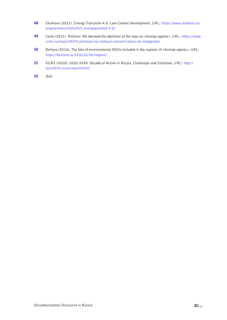- <span id="page-20-0"></span>[48](#page-14-0) Skolkovo (2021). Energy Transition 4.0: Low-Carbon Development. URL: *https://www.skolkovo.ru/ programmes/25012021-energoperehod-4-0/*.
- [49](#page-15-0) Colta (2021). Petition: We demand the abolition of the laws on «foreign agents». URL: *https://www. colta.ru/news/28274-petitsiya-my-trebuem-otmenit-zakon-ob-inoagentah*.
- [50](#page-15-0) Bellona (2016). The fate of environmental NGOs included in the register of «foreign agents». URL: *https://bellona.ru/2016/10/24/inagent/*.
- [51](#page-15-0) KURS (2020). 2020-2030: Decade of Action in Russia. Challenges and Solutions. URL: *http:// kurs2030.ru/en/report2020*.
- [52](#page-15-0) Ibid.